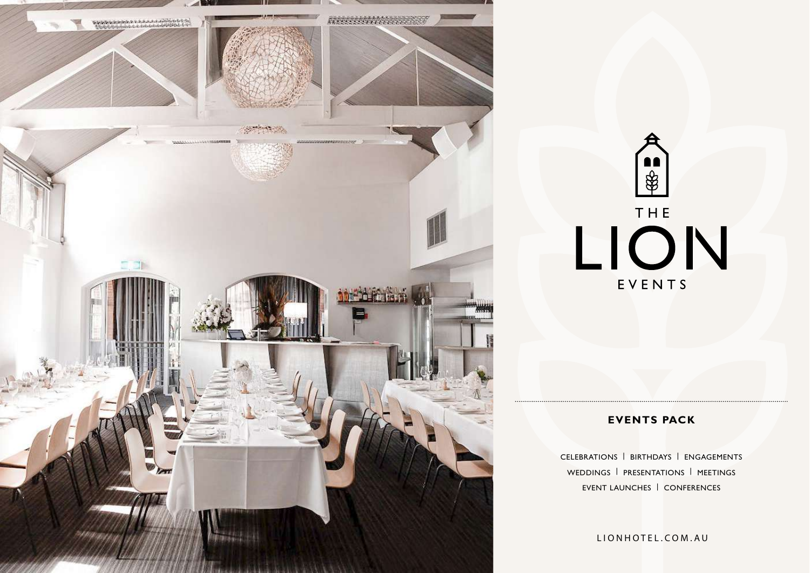



# **EVENTS PACK**

CELEBRATIONS | BIRTHDAYS | ENGAGEMENTS WEDDINGS | PRESENTATIONS | MEETINGS EVENT LAUNCHES | CONFERENCES

LIONHOTEL.COM.AU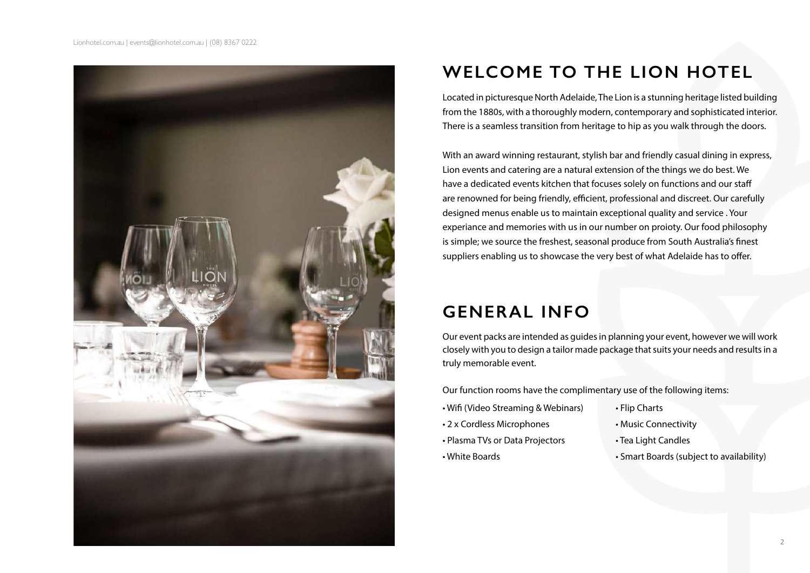

# **WELCOME TO THE LION HOTEL**

Located in picturesque North Adelaide, The Lion is a stunning heritage listed building from the 1880s, with a thoroughly modern, contemporary and sophisticated interior. There is a seamless transition from heritage to hip as you walk through the doors.

With an award winning restaurant, stylish bar and friendly casual dining in express, Lion events and catering are a natural extension of the things we do best. We have a dedicated events kitchen that focuses solely on functions and our staff are renowned for being friendly, efficient, professional and discreet. Our carefully designed menus enable us to maintain exceptional quality and service . Your experiance and memories with us in our number on proioty. Our food philosophy is simple; we source the freshest, seasonal produce from South Australia's finest suppliers enabling us to showcase the very best of what Adelaide has to offer.

# **GENERAL INFO**

Our event packs are intended as guides in planning your event, however we will work closely with you to design a tailor made package that suits your needs and results in a truly memorable event.

Our function rooms have the complimentary use of the following items:

- Wifi (Video Streaming & Webinars)
- 2 x Cordless Microphones
- Plasma TVs or Data Projectors
- White Boards
- Flip Charts
- Music Connectivity
- Tea Light Candles
- Smart Boards (subject to availability)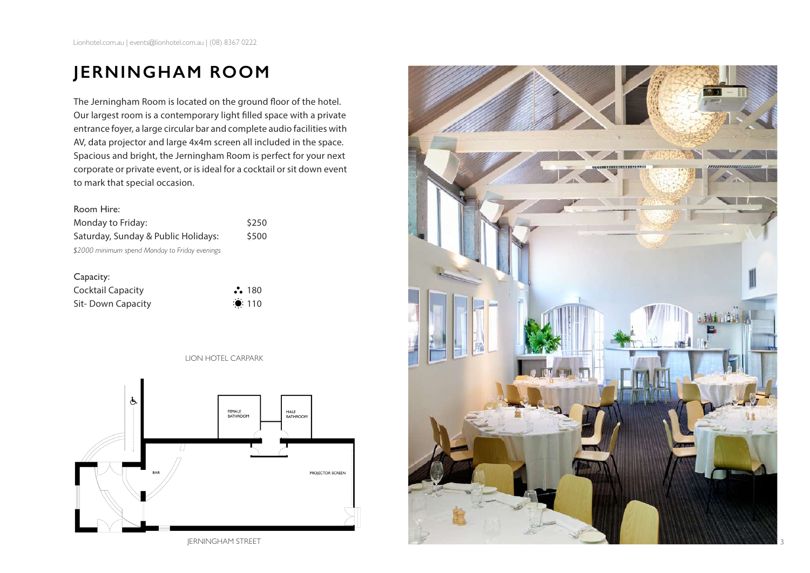# **JERNINGHAM ROOM**

The Jerningham Room is located on the ground floor of the hotel. Our largest room is a contemporary light filled space with a private entrance foyer, a large circular bar and complete audio facilities with AV, data projector and large 4x4m screen all included in the space. Spacious and bright, the Jerningham Room is perfect for your next corporate or private event, or is ideal for a cocktail or sit down event to mark that special occasion.

#### Room Hire:

Monday to Friday: \$250 Saturday, Sunday & Public Holidays: \$500 *\$2000 minimum spend Monday to Friday evenings* 

Capacity: Cocktail Capacity **180** 

Sit- Down Capacity **110** 

LION HOTEL CARPARK



JERNINGHAM STREET

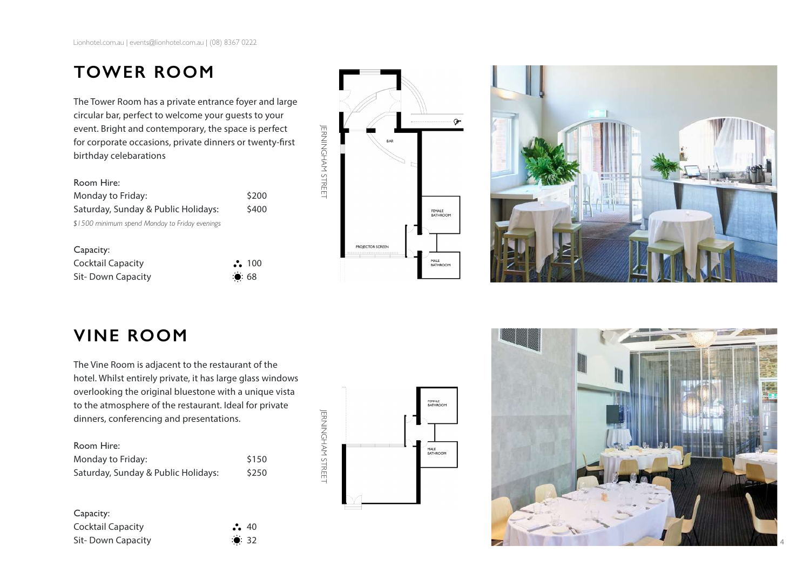# **TOWER ROOM**

The Tower Room has a private entrance foyer and large circular bar, perfect to welcome your guests to your event. Bright and contemporary, the space is perfect for corporate occasions, private dinners or twenty-first birthday celebarations

| \$200 |
|-------|
| \$400 |
|       |
|       |

| Capacity:                |                |
|--------------------------|----------------|
| <b>Cocktail Capacity</b> | $\ddot{.}$ 100 |
| Sit-Down Capacity        | $\ddot{•}$ 68  |





# **VINE ROOM**

The Vine Room is adjacent to the restaurant of the hotel. Whilst entirely private, it has large glass windows overlooking the original bluestone with a unique vista to the atmosphere of the restaurant. Ideal for private dinners, conferencing and presentations.

| Room Hire:                          |       |
|-------------------------------------|-------|
| Monday to Friday:                   | \$150 |
| Saturday, Sunday & Public Holidays: | \$250 |

| Capacity:         |               |  |
|-------------------|---------------|--|
| Cocktail Capacity | $\ddot{.}$ 40 |  |
| Sit-Down Capacity | $\bullet$ 32  |  |



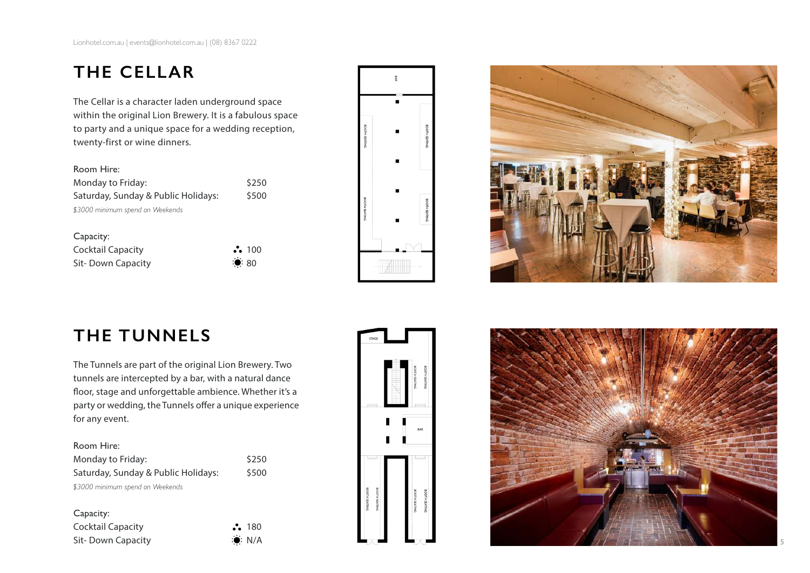# **THE CELLAR**

The Cellar is a character laden underground space within the original Lion Brewery. It is a fabulous space to party and a unique space for a wedding reception, twenty-first or wine dinners.

| Monday to Friday:                   | \$250 |
|-------------------------------------|-------|
| Saturday, Sunday & Public Holidays: | \$500 |
| \$3000 minimum spend on Weekends    |       |

| Capacity:                |                      |
|--------------------------|----------------------|
| <b>Cocktail Capacity</b> | $\ddot{\bullet}$ 100 |
| Sit-Down Capacity        | $\ddot{•}80$         |





# **THE TUNNELS**

The Tunnels are part of the original Lion Brewery. Two tunnels are intercepted by a bar, with a natural dance floor, stage and unforgettable ambience. Whether it's a party or wedding, the Tunnels offer a unique experience for any event.

### Room Hire:

| Monday to Friday:                   | \$250 |
|-------------------------------------|-------|
| Saturday, Sunday & Public Holidays: | \$500 |
| \$3000 minimum spend on Weekends    |       |

### Capacity:

Cocktail Capacity **180** Sit- Down Capacity **Sit- Down Capacity N/A** 



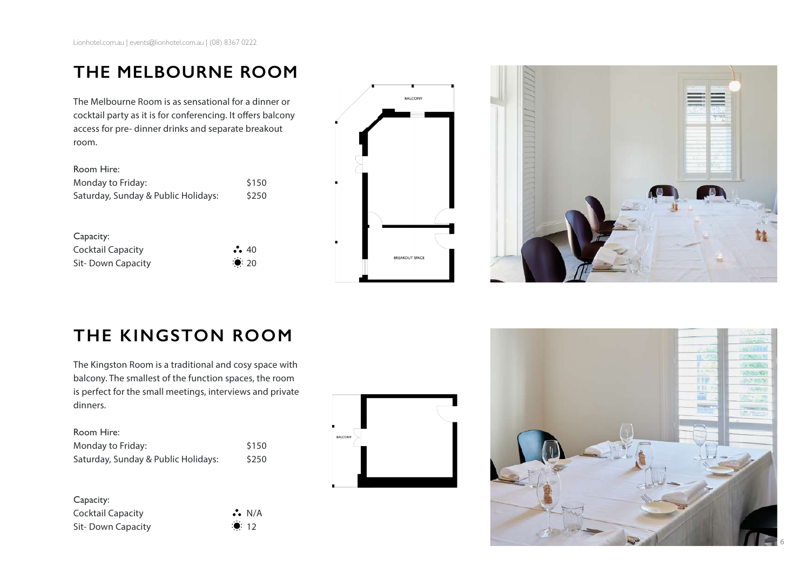# **THE MELBOURNE ROOM**

The Melbourne Room is as sensational for a dinner or cocktail party as it is for conferencing. It offers balcony access for pre- dinner drinks and separate breakout room.

| Room Hire:                          |       |
|-------------------------------------|-------|
| Monday to Friday:                   | \$150 |
| Saturday, Sunday & Public Holidays: | \$250 |

| Capacity:         |                     |
|-------------------|---------------------|
| Cocktail Capacity | $\ddot{\bullet}$ 40 |
| Sit-Down Capacity | $\ddot{•}$ 20       |





# **THE KINGSTON ROOM**

The Kingston Room is a traditional and cosy space with balcony. The smallest of the function spaces, the room is perfect for the small meetings, interviews and private dinners.

| Room Hire:                          |       |
|-------------------------------------|-------|
| Monday to Friday:                   | \$150 |
| Saturday, Sunday & Public Holidays: | \$250 |

Capacity: Cocktail Capacity **Cocktail Capacity Cocktail Capacity Cocktail** Capacity Sit- Down Capacity **12** 12



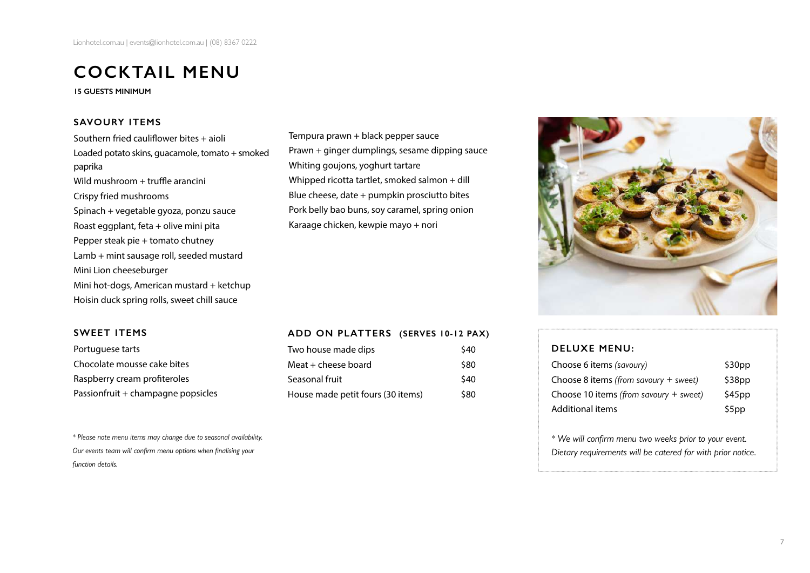# **COCKTAIL MENU**

**15 GUESTS MINIMUM** 

### **SAVOURY ITEMS**

Southern fried cauliflower bites + aioli Loaded potato skins, guacamole, tomato + smoked paprika Wild mushroom + truffle arancini Crispy fried mushrooms Spinach + vegetable gyoza, ponzu sauce Roast eggplant, feta + olive mini pita Pepper steak pie + tomato chutney Lamb + mint sausage roll, seeded mustard Mini Lion cheeseburger Mini hot-dogs, American mustard + ketchup Hoisin duck spring rolls, sweet chill sauce

# Tempura prawn + black pepper sauce Prawn + ginger dumplings, sesame dipping sauce Whiting goujons, yoghurt tartare Whipped ricotta tartlet, smoked salmon + dill Blue cheese, date + pumpkin prosciutto bites Pork belly bao buns, soy caramel, spring onion Karaage chicken, kewpie mayo + nori



#### **SWEET ITEMS**

Portuguese tarts Chocolate mousse cake bites Raspberry cream profiteroles Passionfruit + champagne popsicles

*\* Please note menu items may change due to seasonal availability. Our events team will confirm menu options when finalising your function details.* 

### **ADD ON PLATTERS (SERVES 10-12 PAX)**

| Two house made dips               | \$40 |
|-----------------------------------|------|
| Meat + cheese board               | \$80 |
| Seasonal fruit                    | \$40 |
| House made petit fours (30 items) | \$80 |

#### **DELUXE MENU:**

| Choose 6 items (savoury)                 | \$30pp |
|------------------------------------------|--------|
| Choose 8 items (from sayoury $+$ sweet)  | \$38pp |
| Choose 10 items (from savoury $+$ sweet) | \$45pp |
| <b>Additional items</b>                  | \$5pp  |

*\* We will confirm menu two weeks prior to your event. Dietary requirements will be catered for with prior notice.*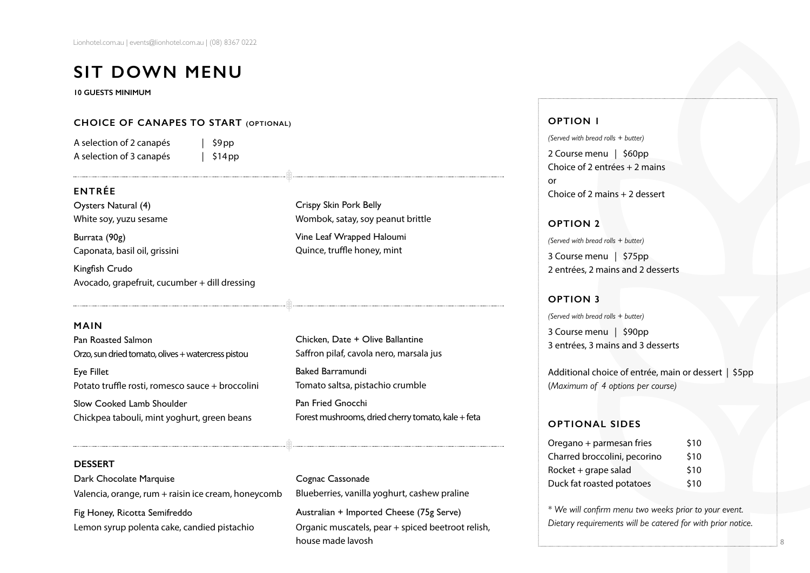# **SIT DOWN MENU**

**10 GUESTS MINIMUM** 

#### **CHOICE OF CANAPES TO START (OPTIONAL)**

A selection of 2 canapés | \$9pp A selection of 3 canapés | \$14 pp

### **ENTRÉE**

Oysters Natural (4) White soy, yuzu sesame

Burrata (90g) Caponata, basil oil, grissini

Kingfish Crudo Avocado, grapefruit, cucumber + dill dressing

#### **MAIN**

Pan Roasted Salmon Orzo, sun dried tomato, olives + watercress pistou

Eye Fillet Potato truffle rosti, romesco sauce + broccolini Slow Cooked Lamb Shoulder

Chickpea tabouli, mint yoghurt, green beans

# Crispy Skin Pork Belly Wombok, satay, soy peanut brittle

Vine Leaf Wrapped Haloumi Quince, truffle honey, mint

Chicken, Date + Olive Ballantine Saffron pilaf, cavola nero, marsala jus Baked Barramundi Tomato saltsa, pistachio crumble Pan Fried Gnocchi Forest mushrooms, dried cherry tomato, kale + feta

#### **DESSERT**

Dark Chocolate Marquise Valencia, orange, rum + raisin ice cream, honeycomb Fig Honey, Ricotta Semifreddo Lemon syrup polenta cake, candied pistachio

Cognac Cassonade Blueberries, vanilla yoghurt, cashew praline Australian + Imported Cheese (75g Serve) Organic muscatels, pear + spiced beetroot relish, house made lavosh

#### **OPTION 1**

*(Served with bread rolls + butter)*

2 Course menu | \$60pp Choice of 2 entrées + 2 mains or Choice of 2 mains + 2 dessert

**OPTION 2** *(Served with bread rolls + butter)*

3 Course menu | \$75pp 2 entrées, 2 mains and 2 desserts

### **OPTION 3**

*(Served with bread rolls + butter)*

3 Course menu | \$90pp 3 entrées, 3 mains and 3 desserts

Additional choice of entrée, main or dessert | \$5pp (*Maximum of 4 options per course)*

### **OPTIONAL SIDES**

| Oregano + parmesan fries     | \$10 |
|------------------------------|------|
| Charred broccolini, pecorino | \$10 |
| Rocket + grape salad         | \$10 |
| Duck fat roasted potatoes    | \$10 |

*\* We will confirm menu two weeks prior to your event. Dietary requirements will be catered for with prior notice.*

8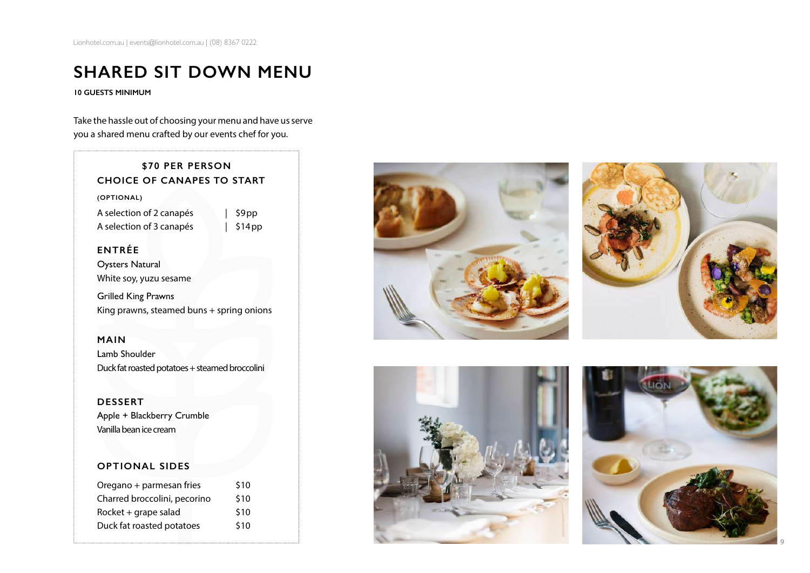# **SHARED SIT DOWN MENU**

**10 GUESTS MINIMUM** 

Take the hassle out of choosing your menu and have us serve you a shared menu crafted by our events chef for you.

# **\$70 PER PERSON CHOICE OF CANAPES TO START**

**(OPTIONAL)**

A selection of 2 canapés | \$9pp A selection of 3 canapés | \$14pp

### **ENTRÉE**

Oysters Natural White soy, yuzu sesame

Grilled King Prawns King prawns, steamed buns + spring onions

**MAIN**  Lamb Shoulder Duck fat roasted potatoes + steamed broccolini

#### **DESSERT**

Apple + Blackberry Crumble Vanilla bean ice cream

### **OPTIONAL SIDES**

| Oregano + parmesan fries     | \$10 |
|------------------------------|------|
| Charred broccolini, pecorino | \$10 |
| Rocket + grape salad         | \$10 |
| Duck fat roasted potatoes    | \$10 |
|                              |      |









9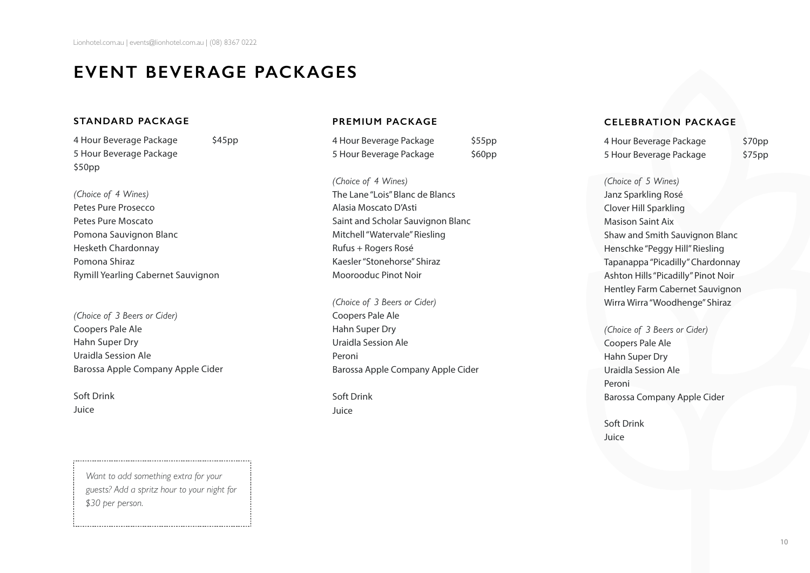# **EVENT BEVERAGE PACKAGES**

#### **STANDARD PACKAGE**

4 Hour Beverage Package \$45pp 5 Hour Beverage Package \$50pp

### *(Choice of 4 Wines)* Petes Pure Prosecco Petes Pure Moscato

Pomona Sauvignon Blanc Hesketh Chardonnay Pomona Shiraz Rymill Yearling Cabernet Sauvignon

*(Choice of 3 Beers or Cider)* Coopers Pale Ale Hahn Super Dry Uraidla Session Ale Barossa Apple Company Apple Cider

Soft Drink Juice

### **PREMIUM PACKAGE**

4 Hour Beverage Package \$55pp 5 Hour Beverage Package \$60pp

*(Choice of 4 Wines)* The Lane "Lois" Blanc de Blancs Alasia Moscato D'Asti Saint and Scholar Sauvignon Blanc Mitchell "Watervale" Riesling Rufus + Rogers Rosé Kaesler "Stonehorse" Shiraz Moorooduc Pinot Noir

*(Choice of 3 Beers or Cider)* Coopers Pale Ale Hahn Super Dry Uraidla Session Ale Peroni Barossa Apple Company Apple Cider

Soft Drink Juice

#### **CELEBRATION PACKAGE**

4 Hour Beverage Package \$70pp 5 Hour Beverage Package \$75pp

*(Choice of 5 Wines)* Janz Sparkling Rosé Clover Hill Sparkling Masison Saint Aix Shaw and Smith Sauvignon Blanc Henschke "Peggy Hill" Riesling Tapanappa "Picadilly" Chardonnay Ashton Hills "Picadilly" Pinot Noir Hentley Farm Cabernet Sauvignon Wirra Wirra "Woodhenge" Shiraz

*(Choice of 3 Beers or Cider)* Coopers Pale Ale Hahn Super Dry Uraidla Session Ale Peroni Barossa Company Apple Cider

Soft Drink Juice

*Want to add something extra for your guests? Add a spritz hour to your night for \$30 per person.*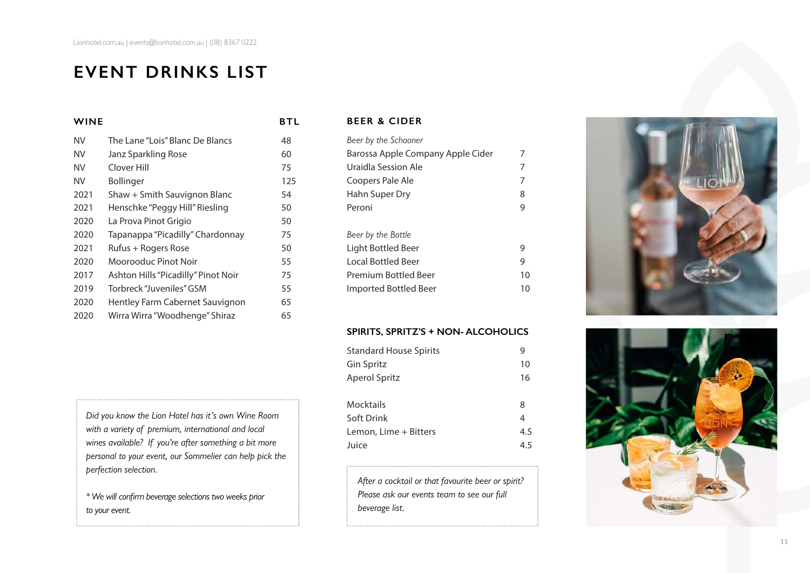# **EVENT DRINKS LIST**

### **WINE BTL**

### **BEER & CIDER**

| NV        | The Lane "Lois" Blanc De Blancs     | 48  |
|-----------|-------------------------------------|-----|
| NV        | Janz Sparkling Rose                 | 60  |
| <b>NV</b> | Clover Hill                         | 75  |
| NV        | <b>Bollinger</b>                    | 125 |
| 2021      | Shaw + Smith Sauvignon Blanc        | 54  |
| 2021      | Henschke "Peggy Hill" Riesling      | 50  |
| 2020      | La Prova Pinot Grigio               | 50  |
| 2020      | Tapanappa "Picadilly" Chardonnay    | 75  |
| 2021      | Rufus + Rogers Rose                 | 50  |
| 2020      | Moorooduc Pinot Noir                | 55  |
| 2017      | Ashton Hills "Picadilly" Pinot Noir | 75  |
| 2019      | Torbreck "Juveniles" GSM            | 55  |
| 2020      | Hentley Farm Cabernet Sauvignon     | 65  |
| 2020      | Wirra Wirra "Woodhenge" Shiraz      | 65  |

*Did you know the Lion Hotel has it's own Wine Room with a variety of premium, international and local wines available? If you're after something a bit more personal to your event, our Sommelier can help pick the perfection selection.* 

*\* We will confirm beverage selections two weeks prior to your event.*

| Beer by the Schooner              |    |
|-----------------------------------|----|
| Barossa Apple Company Apple Cider |    |
| Uraidla Session Ale               | 7  |
| Coopers Pale Ale                  | 7  |
| Hahn Super Dry                    | 8  |
| Peroni                            | 9  |
|                                   |    |
| Beer by the Bottle                |    |
| Light Bottled Beer                | 9  |
| Local Bottled Beer                | 9  |
| Premium Bottled Beer              | 10 |
| Imported Bottled Beer             | 10 |
|                                   |    |

#### **SPIRITS, SPRITZ'S + NON- ALCOHOLICS**

| <b>Standard House Spirits</b> |     |
|-------------------------------|-----|
| <b>Gin Spritz</b>             | 10  |
| Aperol Spritz                 | 16  |
| Mocktails                     | 8   |
| Soft Drink                    | 4   |
| Lemon, Lime + Bitters         | 4.5 |
| Juice                         | 4.5 |

*After a cocktail or that favourite beer or spirit? Please ask our events team to see our full beverage list.* 



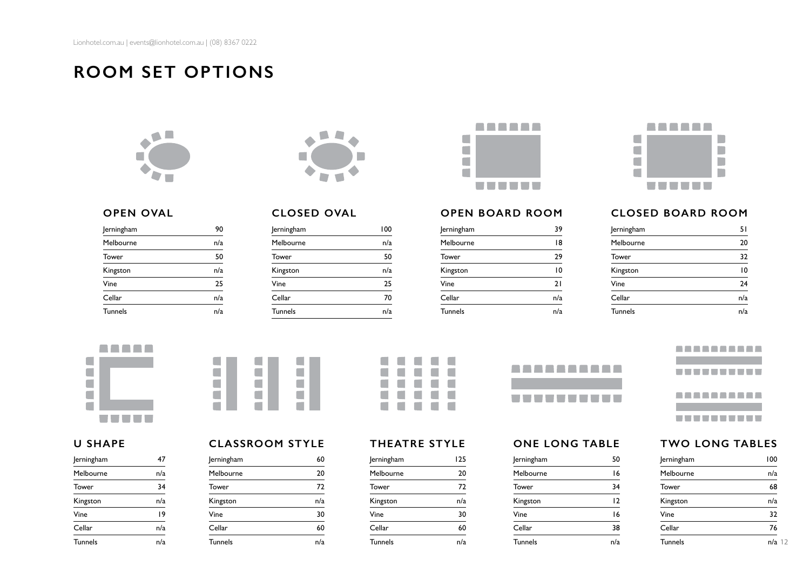**ROOM SET OPTIONS** 









### **OPEN OVAL**

| Jerningham     | 90  |
|----------------|-----|
| Melbourne      | n/a |
| Tower          | 50  |
| Kingston       | n/a |
| Vine           | 25  |
| Cellar         | n/a |
| <b>Tunnels</b> | n/a |

# **CLOSED OVAL**

| 100 |
|-----|
| n/a |
| 50  |
| n/a |
| 25  |
| 70  |
| n/a |
|     |

# **OPEN BOARD ROOM**

| <b>Jerningham</b> | 39  |
|-------------------|-----|
| Melbourne         | 18  |
| Tower             | 29  |
| Kingston          | 10  |
| Vine              | 21  |
| Cellar            | n/a |
| <b>Tunnels</b>    | n/a |

# **CLOSED BOARD ROOM**

| Jerningham     | 51  |
|----------------|-----|
| Melbourne      | 20  |
| Tower          | 32  |
| Kingston       | 10  |
| Vine           | 24  |
| Cellar         | n/a |
| <b>Tunnels</b> | n/a |



# **U SHAPE**

| Jerningham     | 47  |
|----------------|-----|
| Melbourne      | n/a |
| Tower          | 34  |
| Kingston       | n/a |
| Vine           | 19  |
| Cellar         | n/a |
| <b>Tunnels</b> | n/a |



### **CLASSROOM STYLE**

| <b>Jerningham</b> | 60  |
|-------------------|-----|
| Melbourne         | 20  |
| Tower             | 72  |
| Kingston          | n/a |
| Vine              | 30  |
| Cellar            | 60  |
| <b>Tunnels</b>    | n/a |



### **THEATRE STYLE**

| Jerningham     | 125 |
|----------------|-----|
| Melbourne      | 20  |
| Tower          | 72  |
| Kingston       | n/a |
| Vine           | 30  |
| Cellar         |     |
| <b>Tunnels</b> |     |

| ---------- |  |  |  |  |
|------------|--|--|--|--|
|            |  |  |  |  |
| ---------- |  |  |  |  |

# **ONE LONG TABLE**

| Jerningham     | 50  |
|----------------|-----|
| Melbourne      | 16  |
| Tower          | 34  |
| Kingston       | 12  |
| Vine           | 16  |
| Cellar         | 38  |
| <b>Tunnels</b> | n/a |



### **TWO LONG TABLES**

| Jerningham     | 100      |
|----------------|----------|
| Melbourne      | n/a      |
| Tower          | 68       |
| Kingston       | n/a      |
| Vine           | 32       |
| Cellar         | 76       |
| <b>Tunnels</b> | $n/a$ 12 |